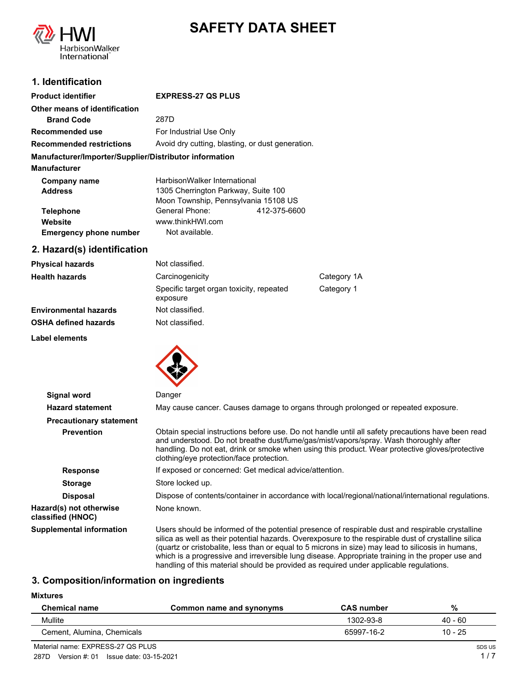

# **SAFETY DATA SHEET**

## **1. Identification**

| <b>Product identifier</b>                              | <b>EXPRESS-27 QS PLUS</b>                        |              |
|--------------------------------------------------------|--------------------------------------------------|--------------|
| Other means of identification                          |                                                  |              |
| <b>Brand Code</b>                                      | 287D                                             |              |
| Recommended use                                        | For Industrial Use Only                          |              |
| <b>Recommended restrictions</b>                        | Avoid dry cutting, blasting, or dust generation. |              |
| Manufacturer/Importer/Supplier/Distributor information |                                                  |              |
| <b>Manufacturer</b>                                    |                                                  |              |
| Company name                                           | HarbisonWalker International                     |              |
| <b>Address</b>                                         | 1305 Cherrington Parkway, Suite 100              |              |
|                                                        | Moon Township, Pennsylvania 15108 US             |              |
| <b>Telephone</b>                                       | General Phone:                                   | 412-375-6600 |
| Website                                                | www.thinkHWI.com                                 |              |
| <b>Emergency phone number</b>                          | Not available.                                   |              |

## **2. Hazard(s) identification**

| Physical hazards      | Not classified.                                      |             |
|-----------------------|------------------------------------------------------|-------------|
| Health hazards        | Carcinogenicity                                      | Category 1A |
|                       | Specific target organ toxicity, repeated<br>exposure | Category 1  |
| Environmental hazards | Not classified.                                      |             |
| OSHA defined hazards  | Not classified.                                      |             |
|                       |                                                      |             |

**Label elements**



| Signal word                                  | Danger                                                                                                                                                                                                                                                                                                                                                                                                             |
|----------------------------------------------|--------------------------------------------------------------------------------------------------------------------------------------------------------------------------------------------------------------------------------------------------------------------------------------------------------------------------------------------------------------------------------------------------------------------|
| <b>Hazard statement</b>                      | May cause cancer. Causes damage to organs through prolonged or repeated exposure.                                                                                                                                                                                                                                                                                                                                  |
| <b>Precautionary statement</b>               |                                                                                                                                                                                                                                                                                                                                                                                                                    |
| <b>Prevention</b>                            | Obtain special instructions before use. Do not handle until all safety precautions have been read<br>and understood. Do not breathe dust/fume/gas/mist/vapors/spray. Wash thoroughly after<br>handling. Do not eat, drink or smoke when using this product. Wear protective gloves/protective<br>clothing/eye protection/face protection.                                                                          |
| <b>Response</b>                              | If exposed or concerned: Get medical advice/attention.                                                                                                                                                                                                                                                                                                                                                             |
| <b>Storage</b>                               | Store locked up.                                                                                                                                                                                                                                                                                                                                                                                                   |
| <b>Disposal</b>                              | Dispose of contents/container in accordance with local/regional/national/international regulations.                                                                                                                                                                                                                                                                                                                |
| Hazard(s) not otherwise<br>classified (HNOC) | None known.                                                                                                                                                                                                                                                                                                                                                                                                        |
| <b>Supplemental information</b>              | Users should be informed of the potential presence of respirable dust and respirable crystalline<br>silica as well as their potential hazards. Overexposure to the respirable dust of crystalline silica<br>(quartz or cristobalite, less than or equal to 5 microns in size) may lead to silicosis in humans,<br>which is a progressive and irreversible lung disease. Appropriate training in the proper use and |

## **3. Composition/information on ingredients**

#### **Mixtures**

| <b>Chemical name</b>       | Common name and synonyms | <b>CAS number</b> | %       |
|----------------------------|--------------------------|-------------------|---------|
| Mullite                    |                          | 1302-93-8         | 40 - 60 |
| Cement, Alumina, Chemicals |                          | 65997-16-2        | 10 - 25 |

handling of this material should be provided as required under applicable regulations.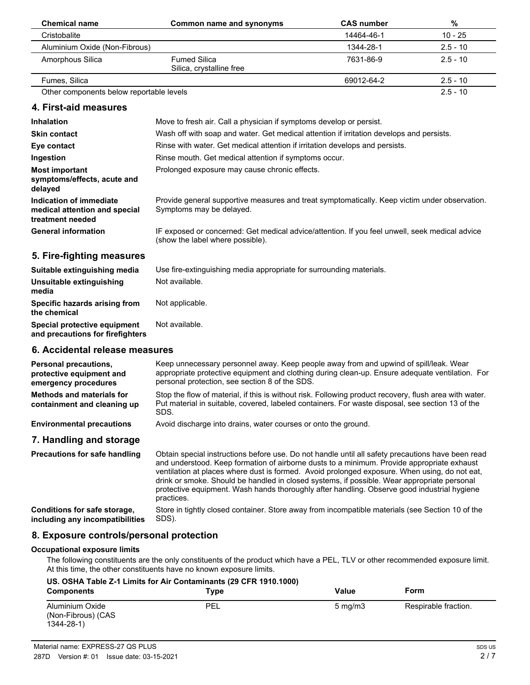| <b>Chemical name</b>                                                         | Common name and synonyms                                                                                                           | <b>CAS number</b> | $\%$       |
|------------------------------------------------------------------------------|------------------------------------------------------------------------------------------------------------------------------------|-------------------|------------|
| Cristobalite                                                                 |                                                                                                                                    | 14464-46-1        | $10 - 25$  |
| Aluminium Oxide (Non-Fibrous)                                                |                                                                                                                                    | 1344-28-1         | $2.5 - 10$ |
| Amorphous Silica                                                             | <b>Fumed Silica</b><br>Silica, crystalline free                                                                                    | 7631-86-9         | $2.5 - 10$ |
| Fumes, Silica                                                                |                                                                                                                                    | 69012-64-2        | $2.5 - 10$ |
| Other components below reportable levels                                     |                                                                                                                                    |                   | $2.5 - 10$ |
| 4. First-aid measures                                                        |                                                                                                                                    |                   |            |
| <b>Inhalation</b>                                                            | Move to fresh air. Call a physician if symptoms develop or persist.                                                                |                   |            |
| <b>Skin contact</b>                                                          | Wash off with soap and water. Get medical attention if irritation develops and persists.                                           |                   |            |
| Eye contact                                                                  | Rinse with water. Get medical attention if irritation develops and persists.                                                       |                   |            |
| Ingestion                                                                    | Rinse mouth. Get medical attention if symptoms occur.                                                                              |                   |            |
| <b>Most important</b><br>symptoms/effects, acute and<br>delayed              | Prolonged exposure may cause chronic effects.                                                                                      |                   |            |
| Indication of immediate<br>medical attention and special<br>treatment needed | Provide general supportive measures and treat symptomatically. Keep victim under observation.<br>Symptoms may be delayed.          |                   |            |
| <b>General information</b>                                                   | IF exposed or concerned: Get medical advice/attention. If you feel unwell, seek medical advice<br>(show the label where possible). |                   |            |
| 5. Fire-fighting measures                                                    |                                                                                                                                    |                   |            |
| Suitable extinguishing media                                                 | Use fire-extinguishing media appropriate for surrounding materials.                                                                |                   |            |
| Unsuitable extinguishing<br>media                                            | Not available.                                                                                                                     |                   |            |
| Specific hazards arising from<br>the chemical                                | Not applicable.                                                                                                                    |                   |            |
| Special protective equipment<br>and precautions for firefighters             | Not available.                                                                                                                     |                   |            |

#### **6. Accidental release measures**

| <b>Personal precautions,</b><br>protective equipment and<br>emergency procedures | Keep unnecessary personnel away. Keep people away from and upwind of spill/leak. Wear<br>appropriate protective equipment and clothing during clean-up. Ensure adequate ventilation. For<br>personal protection, see section 8 of the SDS.                                                       |
|----------------------------------------------------------------------------------|--------------------------------------------------------------------------------------------------------------------------------------------------------------------------------------------------------------------------------------------------------------------------------------------------|
| Methods and materials for<br>containment and cleaning up                         | Stop the flow of material, if this is without risk. Following product recovery, flush area with water.<br>Put material in suitable, covered, labeled containers. For waste disposal, see section 13 of the<br>SDS.                                                                               |
| <b>Environmental precautions</b>                                                 | Avoid discharge into drains, water courses or onto the ground.                                                                                                                                                                                                                                   |
| 7. Handling and storage                                                          |                                                                                                                                                                                                                                                                                                  |
| <b>Precautions for safe handling</b>                                             | Obtain special instructions before use. Do not handle until all safety precautions have been read<br>and understood. Keep formation of airborne dusts to a minimum. Provide appropriate exhaust<br>ventilation at places where dust is formed. Avoid prolonged exposure. When using, do not eat, |

practices. Store in tightly closed container. Store away from incompatible materials (see Section 10 of the SDS). **Conditions for safe storage, including any incompatibilities**

## **8. Exposure controls/personal protection**

#### **Occupational exposure limits**

The following constituents are the only constituents of the product which have a PEL, TLV or other recommended exposure limit. At this time, the other constituents have no known exposure limits.

drink or smoke. Should be handled in closed systems, if possible. Wear appropriate personal protective equipment. Wash hands thoroughly after handling. Observe good industrial hygiene

| <b>Components</b>                                        | US. OSHA Table Z-1 Limits for Air Contaminants (29 CFR 1910.1000)<br>Type | Value            | Form                 |
|----------------------------------------------------------|---------------------------------------------------------------------------|------------------|----------------------|
| Aluminium Oxide<br>(Non-Fibrous) (CAS<br>$1344 - 28 - 1$ | PEL                                                                       | $5 \text{ mg/m}$ | Respirable fraction. |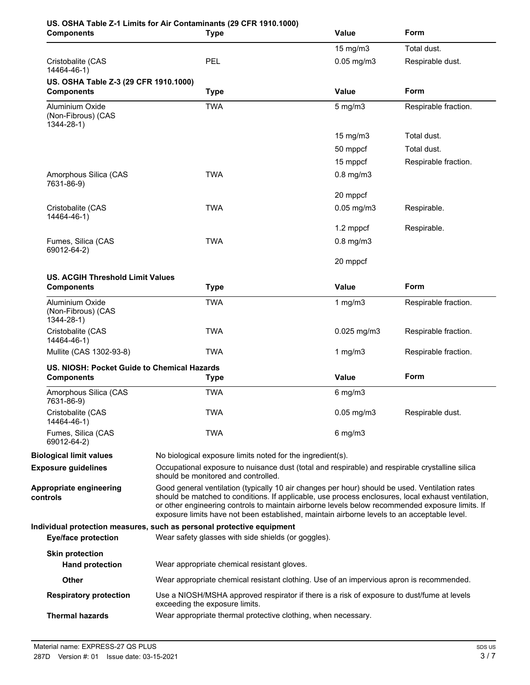| <b>Components</b>                                                | US. OSHA Table Z-1 Limits for Air Contaminants (29 CFR 1910.1000)<br><b>Type</b>                                                                                                                                                                                                                                                                                                                       | <b>Value</b>      | Form                 |
|------------------------------------------------------------------|--------------------------------------------------------------------------------------------------------------------------------------------------------------------------------------------------------------------------------------------------------------------------------------------------------------------------------------------------------------------------------------------------------|-------------------|----------------------|
|                                                                  |                                                                                                                                                                                                                                                                                                                                                                                                        | 15 mg/m3          | Total dust.          |
| Cristobalite (CAS<br>14464-46-1)                                 | PEL                                                                                                                                                                                                                                                                                                                                                                                                    | $0.05$ mg/m $3$   | Respirable dust.     |
| US. OSHA Table Z-3 (29 CFR 1910.1000)<br><b>Components</b>       | <b>Type</b>                                                                                                                                                                                                                                                                                                                                                                                            | <b>Value</b>      | Form                 |
| Aluminium Oxide<br>(Non-Fibrous) (CAS<br>1344-28-1)              | <b>TWA</b>                                                                                                                                                                                                                                                                                                                                                                                             | $5$ mg/m $3$      | Respirable fraction. |
|                                                                  |                                                                                                                                                                                                                                                                                                                                                                                                        | $15 \text{ mg/m}$ | Total dust.          |
|                                                                  |                                                                                                                                                                                                                                                                                                                                                                                                        | 50 mppcf          | Total dust.          |
|                                                                  |                                                                                                                                                                                                                                                                                                                                                                                                        | 15 mppcf          | Respirable fraction. |
| Amorphous Silica (CAS<br>7631-86-9)                              | <b>TWA</b>                                                                                                                                                                                                                                                                                                                                                                                             | $0.8$ mg/m $3$    |                      |
|                                                                  |                                                                                                                                                                                                                                                                                                                                                                                                        | 20 mppcf          |                      |
| Cristobalite (CAS<br>14464-46-1)                                 | <b>TWA</b>                                                                                                                                                                                                                                                                                                                                                                                             | $0.05$ mg/m $3$   | Respirable.          |
|                                                                  |                                                                                                                                                                                                                                                                                                                                                                                                        | 1.2 mppcf         | Respirable.          |
| Fumes, Silica (CAS<br>69012-64-2)                                | <b>TWA</b>                                                                                                                                                                                                                                                                                                                                                                                             | $0.8$ mg/m $3$    |                      |
|                                                                  |                                                                                                                                                                                                                                                                                                                                                                                                        | 20 mppcf          |                      |
| <b>US. ACGIH Threshold Limit Values</b><br><b>Components</b>     | <b>Type</b>                                                                                                                                                                                                                                                                                                                                                                                            | <b>Value</b>      | Form                 |
| Aluminium Oxide<br>(Non-Fibrous) (CAS<br>$1344 - 28 - 1$         | <b>TWA</b>                                                                                                                                                                                                                                                                                                                                                                                             | 1 $mg/m3$         | Respirable fraction. |
| Cristobalite (CAS<br>14464-46-1)                                 | <b>TWA</b>                                                                                                                                                                                                                                                                                                                                                                                             | $0.025$ mg/m3     | Respirable fraction. |
| Mullite (CAS 1302-93-8)                                          | <b>TWA</b>                                                                                                                                                                                                                                                                                                                                                                                             | 1 $mg/m3$         | Respirable fraction. |
| US. NIOSH: Pocket Guide to Chemical Hazards<br><b>Components</b> | <b>Type</b>                                                                                                                                                                                                                                                                                                                                                                                            | Value             | Form                 |
| Amorphous Silica (CAS<br>7631-86-9)                              | <b>TWA</b>                                                                                                                                                                                                                                                                                                                                                                                             | $6$ mg/m $3$      |                      |
| Cristobalite (CAS<br>14464-46-1)                                 | <b>TWA</b>                                                                                                                                                                                                                                                                                                                                                                                             | $0.05$ mg/m $3$   | Respirable dust.     |
| Fumes, Silica (CAS<br>69012-64-2)                                | TWA                                                                                                                                                                                                                                                                                                                                                                                                    | $6$ mg/m $3$      |                      |
| <b>Biological limit values</b>                                   | No biological exposure limits noted for the ingredient(s).                                                                                                                                                                                                                                                                                                                                             |                   |                      |
| <b>Exposure guidelines</b>                                       | Occupational exposure to nuisance dust (total and respirable) and respirable crystalline silica<br>should be monitored and controlled.                                                                                                                                                                                                                                                                 |                   |                      |
| Appropriate engineering<br>controls                              | Good general ventilation (typically 10 air changes per hour) should be used. Ventilation rates<br>should be matched to conditions. If applicable, use process enclosures, local exhaust ventilation,<br>or other engineering controls to maintain airborne levels below recommended exposure limits. If<br>exposure limits have not been established, maintain airborne levels to an acceptable level. |                   |                      |
| <b>Eye/face protection</b>                                       | Individual protection measures, such as personal protective equipment<br>Wear safety glasses with side shields (or goggles).                                                                                                                                                                                                                                                                           |                   |                      |
| <b>Skin protection</b>                                           |                                                                                                                                                                                                                                                                                                                                                                                                        |                   |                      |
| <b>Hand protection</b>                                           | Wear appropriate chemical resistant gloves.                                                                                                                                                                                                                                                                                                                                                            |                   |                      |
| Other                                                            | Wear appropriate chemical resistant clothing. Use of an impervious apron is recommended.                                                                                                                                                                                                                                                                                                               |                   |                      |
| <b>Respiratory protection</b>                                    | Use a NIOSH/MSHA approved respirator if there is a risk of exposure to dust/fume at levels<br>exceeding the exposure limits.                                                                                                                                                                                                                                                                           |                   |                      |
| <b>Thermal hazards</b>                                           | Wear appropriate thermal protective clothing, when necessary.                                                                                                                                                                                                                                                                                                                                          |                   |                      |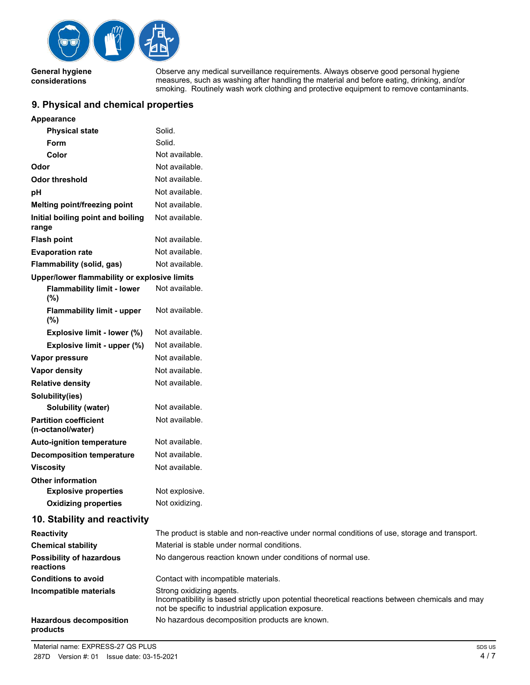

**General hygiene considerations**

Observe any medical surveillance requirements. Always observe good personal hygiene measures, such as washing after handling the material and before eating, drinking, and/or smoking. Routinely wash work clothing and protective equipment to remove contaminants.

## **9. Physical and chemical properties**

| Appearance                                        |                                                                                                                                                                                     |
|---------------------------------------------------|-------------------------------------------------------------------------------------------------------------------------------------------------------------------------------------|
| <b>Physical state</b>                             | Solid.                                                                                                                                                                              |
| <b>Form</b>                                       | Solid.                                                                                                                                                                              |
| Color                                             | Not available.                                                                                                                                                                      |
| Odor                                              | Not available.                                                                                                                                                                      |
| <b>Odor threshold</b>                             | Not available.                                                                                                                                                                      |
| рH                                                | Not available.                                                                                                                                                                      |
| Melting point/freezing point                      | Not available.                                                                                                                                                                      |
| Initial boiling point and boiling<br>range        | Not available.                                                                                                                                                                      |
| <b>Flash point</b>                                | Not available.                                                                                                                                                                      |
| <b>Evaporation rate</b>                           | Not available.                                                                                                                                                                      |
| Flammability (solid, gas)                         | Not available.                                                                                                                                                                      |
| Upper/lower flammability or explosive limits      |                                                                                                                                                                                     |
| <b>Flammability limit - lower</b><br>(%)          | Not available.                                                                                                                                                                      |
| <b>Flammability limit - upper</b><br>(%)          | Not available.                                                                                                                                                                      |
| Explosive limit - lower (%)                       | Not available.                                                                                                                                                                      |
| Explosive limit - upper (%)                       | Not available.                                                                                                                                                                      |
| Vapor pressure                                    | Not available.                                                                                                                                                                      |
| <b>Vapor density</b>                              | Not available.                                                                                                                                                                      |
| <b>Relative density</b>                           | Not available.                                                                                                                                                                      |
| Solubility(ies)                                   |                                                                                                                                                                                     |
| Solubility (water)                                | Not available.                                                                                                                                                                      |
| <b>Partition coefficient</b><br>(n-octanol/water) | Not available.                                                                                                                                                                      |
| <b>Auto-ignition temperature</b>                  | Not available.                                                                                                                                                                      |
| <b>Decomposition temperature</b>                  | Not available.                                                                                                                                                                      |
| <b>Viscosity</b>                                  | Not available.                                                                                                                                                                      |
| <b>Other information</b>                          |                                                                                                                                                                                     |
| <b>Explosive properties</b>                       | Not explosive.                                                                                                                                                                      |
| <b>Oxidizing properties</b>                       | Not oxidizing.                                                                                                                                                                      |
| 10. Stability and reactivity                      |                                                                                                                                                                                     |
| <b>Reactivity</b>                                 | The product is stable and non-reactive under normal conditions of use, storage and transport.                                                                                       |
| <b>Chemical stability</b>                         | Material is stable under normal conditions.                                                                                                                                         |
| <b>Possibility of hazardous</b><br>reactions      | No dangerous reaction known under conditions of normal use.                                                                                                                         |
| <b>Conditions to avoid</b>                        | Contact with incompatible materials.                                                                                                                                                |
| Incompatible materials                            | Strong oxidizing agents.<br>Incompatibility is based strictly upon potential theoretical reactions between chemicals and may<br>not be specific to industrial application exposure. |
| <b>Hazardous decomposition</b><br>products        | No hazardous decomposition products are known.                                                                                                                                      |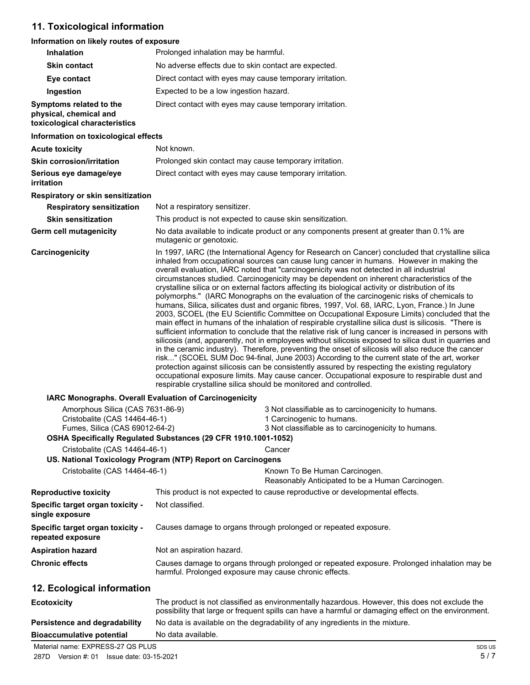## **11. Toxicological information**

## **Information on likely routes of exposure**

| Inhalation                                                                                          | Prolonged inhalation may be harmful.                                                                                                                                                                                                                                                                                                                                                                                                                                                                                                                                                                                                                                                                                                                                                                                                                                                                                                                                                                                                                                                                                                                                                                                                                                                                                                                                                                                                                                                                                                                                                               |  |
|-----------------------------------------------------------------------------------------------------|----------------------------------------------------------------------------------------------------------------------------------------------------------------------------------------------------------------------------------------------------------------------------------------------------------------------------------------------------------------------------------------------------------------------------------------------------------------------------------------------------------------------------------------------------------------------------------------------------------------------------------------------------------------------------------------------------------------------------------------------------------------------------------------------------------------------------------------------------------------------------------------------------------------------------------------------------------------------------------------------------------------------------------------------------------------------------------------------------------------------------------------------------------------------------------------------------------------------------------------------------------------------------------------------------------------------------------------------------------------------------------------------------------------------------------------------------------------------------------------------------------------------------------------------------------------------------------------------------|--|
| <b>Skin contact</b>                                                                                 | No adverse effects due to skin contact are expected.                                                                                                                                                                                                                                                                                                                                                                                                                                                                                                                                                                                                                                                                                                                                                                                                                                                                                                                                                                                                                                                                                                                                                                                                                                                                                                                                                                                                                                                                                                                                               |  |
| Eye contact                                                                                         | Direct contact with eyes may cause temporary irritation.                                                                                                                                                                                                                                                                                                                                                                                                                                                                                                                                                                                                                                                                                                                                                                                                                                                                                                                                                                                                                                                                                                                                                                                                                                                                                                                                                                                                                                                                                                                                           |  |
| Ingestion                                                                                           | Expected to be a low ingestion hazard.                                                                                                                                                                                                                                                                                                                                                                                                                                                                                                                                                                                                                                                                                                                                                                                                                                                                                                                                                                                                                                                                                                                                                                                                                                                                                                                                                                                                                                                                                                                                                             |  |
| Symptoms related to the<br>physical, chemical and<br>toxicological characteristics                  | Direct contact with eyes may cause temporary irritation.                                                                                                                                                                                                                                                                                                                                                                                                                                                                                                                                                                                                                                                                                                                                                                                                                                                                                                                                                                                                                                                                                                                                                                                                                                                                                                                                                                                                                                                                                                                                           |  |
| Information on toxicological effects                                                                |                                                                                                                                                                                                                                                                                                                                                                                                                                                                                                                                                                                                                                                                                                                                                                                                                                                                                                                                                                                                                                                                                                                                                                                                                                                                                                                                                                                                                                                                                                                                                                                                    |  |
| <b>Acute toxicity</b>                                                                               | Not known.                                                                                                                                                                                                                                                                                                                                                                                                                                                                                                                                                                                                                                                                                                                                                                                                                                                                                                                                                                                                                                                                                                                                                                                                                                                                                                                                                                                                                                                                                                                                                                                         |  |
| <b>Skin corrosion/irritation</b>                                                                    | Prolonged skin contact may cause temporary irritation.                                                                                                                                                                                                                                                                                                                                                                                                                                                                                                                                                                                                                                                                                                                                                                                                                                                                                                                                                                                                                                                                                                                                                                                                                                                                                                                                                                                                                                                                                                                                             |  |
| Serious eye damage/eye<br>irritation                                                                | Direct contact with eyes may cause temporary irritation.                                                                                                                                                                                                                                                                                                                                                                                                                                                                                                                                                                                                                                                                                                                                                                                                                                                                                                                                                                                                                                                                                                                                                                                                                                                                                                                                                                                                                                                                                                                                           |  |
| Respiratory or skin sensitization                                                                   |                                                                                                                                                                                                                                                                                                                                                                                                                                                                                                                                                                                                                                                                                                                                                                                                                                                                                                                                                                                                                                                                                                                                                                                                                                                                                                                                                                                                                                                                                                                                                                                                    |  |
| <b>Respiratory sensitization</b>                                                                    | Not a respiratory sensitizer.                                                                                                                                                                                                                                                                                                                                                                                                                                                                                                                                                                                                                                                                                                                                                                                                                                                                                                                                                                                                                                                                                                                                                                                                                                                                                                                                                                                                                                                                                                                                                                      |  |
| <b>Skin sensitization</b>                                                                           | This product is not expected to cause skin sensitization.                                                                                                                                                                                                                                                                                                                                                                                                                                                                                                                                                                                                                                                                                                                                                                                                                                                                                                                                                                                                                                                                                                                                                                                                                                                                                                                                                                                                                                                                                                                                          |  |
| <b>Germ cell mutagenicity</b>                                                                       | No data available to indicate product or any components present at greater than 0.1% are<br>mutagenic or genotoxic.                                                                                                                                                                                                                                                                                                                                                                                                                                                                                                                                                                                                                                                                                                                                                                                                                                                                                                                                                                                                                                                                                                                                                                                                                                                                                                                                                                                                                                                                                |  |
| Carcinogenicity                                                                                     | In 1997, IARC (the International Agency for Research on Cancer) concluded that crystalline silica<br>inhaled from occupational sources can cause lung cancer in humans. However in making the<br>overall evaluation, IARC noted that "carcinogenicity was not detected in all industrial<br>circumstances studied. Carcinogenicity may be dependent on inherent characteristics of the<br>crystalline silica or on external factors affecting its biological activity or distribution of its<br>polymorphs." (IARC Monographs on the evaluation of the carcinogenic risks of chemicals to<br>humans, Silica, silicates dust and organic fibres, 1997, Vol. 68, IARC, Lyon, France.) In June<br>2003, SCOEL (the EU Scientific Committee on Occupational Exposure Limits) concluded that the<br>main effect in humans of the inhalation of respirable crystalline silica dust is silicosis. "There is<br>sufficient information to conclude that the relative risk of lung cancer is increased in persons with<br>silicosis (and, apparently, not in employees without silicosis exposed to silica dust in quarries and<br>in the ceramic industry). Therefore, preventing the onset of silicosis will also reduce the cancer<br>risk" (SCOEL SUM Doc 94-final, June 2003) According to the current state of the art, worker<br>protection against silicosis can be consistently assured by respecting the existing regulatory<br>occupational exposure limits. May cause cancer. Occupational exposure to respirable dust and<br>respirable crystalline silica should be monitored and controlled. |  |
| IARC Monographs. Overall Evaluation of Carcinogenicity                                              |                                                                                                                                                                                                                                                                                                                                                                                                                                                                                                                                                                                                                                                                                                                                                                                                                                                                                                                                                                                                                                                                                                                                                                                                                                                                                                                                                                                                                                                                                                                                                                                                    |  |
| Amorphous Silica (CAS 7631-86-9)<br>Cristobalite (CAS 14464-46-1)<br>Fumes, Silica (CAS 69012-64-2) | 3 Not classifiable as to carcinogenicity to humans.<br>1 Carcinogenic to humans.<br>3 Not classifiable as to carcinogenicity to humans.                                                                                                                                                                                                                                                                                                                                                                                                                                                                                                                                                                                                                                                                                                                                                                                                                                                                                                                                                                                                                                                                                                                                                                                                                                                                                                                                                                                                                                                            |  |
| Cristobalite (CAS 14464-46-1)                                                                       | OSHA Specifically Regulated Substances (29 CFR 1910.1001-1052)<br>Cancer                                                                                                                                                                                                                                                                                                                                                                                                                                                                                                                                                                                                                                                                                                                                                                                                                                                                                                                                                                                                                                                                                                                                                                                                                                                                                                                                                                                                                                                                                                                           |  |
|                                                                                                     | US. National Toxicology Program (NTP) Report on Carcinogens                                                                                                                                                                                                                                                                                                                                                                                                                                                                                                                                                                                                                                                                                                                                                                                                                                                                                                                                                                                                                                                                                                                                                                                                                                                                                                                                                                                                                                                                                                                                        |  |
| Cristobalite (CAS 14464-46-1)                                                                       | Known To Be Human Carcinogen.<br>Reasonably Anticipated to be a Human Carcinogen.                                                                                                                                                                                                                                                                                                                                                                                                                                                                                                                                                                                                                                                                                                                                                                                                                                                                                                                                                                                                                                                                                                                                                                                                                                                                                                                                                                                                                                                                                                                  |  |
| <b>Reproductive toxicity</b>                                                                        | This product is not expected to cause reproductive or developmental effects.                                                                                                                                                                                                                                                                                                                                                                                                                                                                                                                                                                                                                                                                                                                                                                                                                                                                                                                                                                                                                                                                                                                                                                                                                                                                                                                                                                                                                                                                                                                       |  |
| Specific target organ toxicity -<br>single exposure                                                 | Not classified.                                                                                                                                                                                                                                                                                                                                                                                                                                                                                                                                                                                                                                                                                                                                                                                                                                                                                                                                                                                                                                                                                                                                                                                                                                                                                                                                                                                                                                                                                                                                                                                    |  |
| Specific target organ toxicity -<br>repeated exposure                                               | Causes damage to organs through prolonged or repeated exposure.                                                                                                                                                                                                                                                                                                                                                                                                                                                                                                                                                                                                                                                                                                                                                                                                                                                                                                                                                                                                                                                                                                                                                                                                                                                                                                                                                                                                                                                                                                                                    |  |
| <b>Aspiration hazard</b>                                                                            | Not an aspiration hazard.                                                                                                                                                                                                                                                                                                                                                                                                                                                                                                                                                                                                                                                                                                                                                                                                                                                                                                                                                                                                                                                                                                                                                                                                                                                                                                                                                                                                                                                                                                                                                                          |  |
| <b>Chronic effects</b>                                                                              | Causes damage to organs through prolonged or repeated exposure. Prolonged inhalation may be<br>harmful. Prolonged exposure may cause chronic effects.                                                                                                                                                                                                                                                                                                                                                                                                                                                                                                                                                                                                                                                                                                                                                                                                                                                                                                                                                                                                                                                                                                                                                                                                                                                                                                                                                                                                                                              |  |
| 12. Ecological information                                                                          |                                                                                                                                                                                                                                                                                                                                                                                                                                                                                                                                                                                                                                                                                                                                                                                                                                                                                                                                                                                                                                                                                                                                                                                                                                                                                                                                                                                                                                                                                                                                                                                                    |  |
| <b>Ecotoxicity</b>                                                                                  | The product is not classified as environmentally hazardous. However, this does not exclude the<br>possibility that large or frequent spills can have a harmful or damaging effect on the environment.                                                                                                                                                                                                                                                                                                                                                                                                                                                                                                                                                                                                                                                                                                                                                                                                                                                                                                                                                                                                                                                                                                                                                                                                                                                                                                                                                                                              |  |
| Persistence and degradability                                                                       | No data is available on the degradability of any ingredients in the mixture.                                                                                                                                                                                                                                                                                                                                                                                                                                                                                                                                                                                                                                                                                                                                                                                                                                                                                                                                                                                                                                                                                                                                                                                                                                                                                                                                                                                                                                                                                                                       |  |
| <b>Bioaccumulative potential</b>                                                                    | No data available.                                                                                                                                                                                                                                                                                                                                                                                                                                                                                                                                                                                                                                                                                                                                                                                                                                                                                                                                                                                                                                                                                                                                                                                                                                                                                                                                                                                                                                                                                                                                                                                 |  |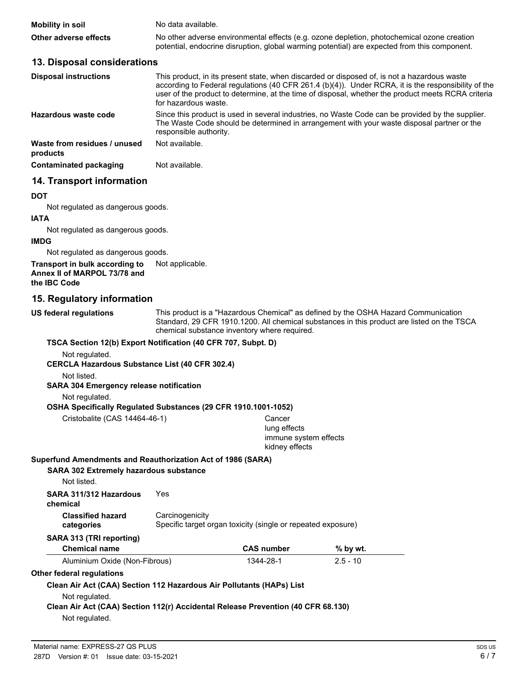| <b>Mobility in soil</b> | No data available.                                                                                                                                                                         |
|-------------------------|--------------------------------------------------------------------------------------------------------------------------------------------------------------------------------------------|
| Other adverse effects   | No other adverse environmental effects (e.g. ozone depletion, photochemical ozone creation<br>potential, endocrine disruption, global warming potential) are expected from this component. |

### **13. Disposal considerations**

| <b>Disposal instructions</b>             | This product, in its present state, when discarded or disposed of, is not a hazardous waste<br>according to Federal regulations (40 CFR 261.4 (b)(4)). Under RCRA, it is the responsibility of the<br>user of the product to determine, at the time of disposal, whether the product meets RCRA criteria<br>for hazardous waste. |
|------------------------------------------|----------------------------------------------------------------------------------------------------------------------------------------------------------------------------------------------------------------------------------------------------------------------------------------------------------------------------------|
| Hazardous waste code                     | Since this product is used in several industries, no Waste Code can be provided by the supplier.<br>The Waste Code should be determined in arrangement with your waste disposal partner or the<br>responsible authority.                                                                                                         |
| Waste from residues / unused<br>products | Not available.                                                                                                                                                                                                                                                                                                                   |
| Contaminated packaging                   | Not available.                                                                                                                                                                                                                                                                                                                   |
| 14. Transport information                |                                                                                                                                                                                                                                                                                                                                  |

**DOT**

Not regulated as dangerous goods.

#### **IATA**

Not regulated as dangerous goods.

#### **IMDG**

Not regulated as dangerous goods.

#### **Transport in bulk according to** Not applicable. **Annex II of MARPOL 73/78 and the IBC Code**

### **15. Regulatory information**

**US federal regulations**

This product is a "Hazardous Chemical" as defined by the OSHA Hazard Communication Standard, 29 CFR 1910.1200. All chemical substances in this product are listed on the TSCA chemical substance inventory where required.

#### **TSCA Section 12(b) Export Notification (40 CFR 707, Subpt. D)**

Not regulated.

#### **CERCLA Hazardous Substance List (40 CFR 302.4)**

Not listed.

#### **SARA 304 Emergency release notification**

Not regulated.

#### **OSHA Specifically Regulated Substances (29 CFR 1910.1001-1052)**

Cristobalite (CAS 14464-46-1) Cancer lung effects immune system effects kidney effects

#### **Superfund Amendments and Reauthorization Act of 1986 (SARA)**

| <b>SARA 302 Extremely hazardous substance</b><br>Not listed.                           |                                                                                 |                   |            |
|----------------------------------------------------------------------------------------|---------------------------------------------------------------------------------|-------------------|------------|
| SARA 311/312 Hazardous<br>chemical                                                     | Yes                                                                             |                   |            |
| <b>Classified hazard</b><br>categories                                                 | Carcinogenicity<br>Specific target organ toxicity (single or repeated exposure) |                   |            |
| SARA 313 (TRI reporting)                                                               |                                                                                 |                   |            |
| <b>Chemical name</b>                                                                   |                                                                                 | <b>CAS number</b> | $%$ by wt. |
| Aluminium Oxide (Non-Fibrous)                                                          |                                                                                 | 1344-28-1         | $2.5 - 10$ |
| Other federal regulations                                                              |                                                                                 |                   |            |
| Clean Air Act (CAA) Section 112 Hazardous Air Pollutants (HAPs) List<br>Not regulated. |                                                                                 |                   |            |
| Clean Air Act (CAA) Section 112(r) Accidental Release Prevention (40 CFR 68.130)       |                                                                                 |                   |            |

Not regulated.